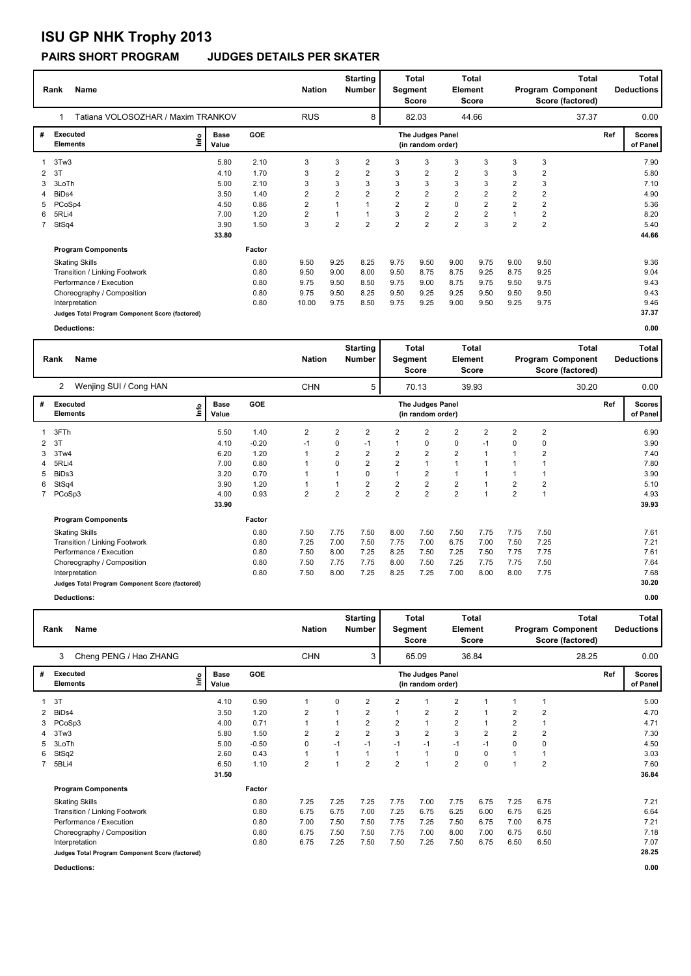# **ISU GP NHK Trophy 2013**

## **PAIRS SHORT PROGRAM JUDGES DETAILS PER SKATER**

|             | <b>Name</b><br>Rank                             | <b>Nation</b>        |        | <b>Starting</b><br>Number | Segment        | <b>Total</b><br><b>Score</b> | <b>Total</b><br>Element<br><b>Score</b> |                                       | <b>Total</b><br>Program Component<br>Score (factored) |                |                | Total<br><b>Deductions</b> |       |     |                           |
|-------------|-------------------------------------------------|----------------------|--------|---------------------------|----------------|------------------------------|-----------------------------------------|---------------------------------------|-------------------------------------------------------|----------------|----------------|----------------------------|-------|-----|---------------------------|
|             | Tatiana VOLOSOZHAR / Maxim TRANKOV<br>1         |                      |        | <b>RUS</b>                |                | 8                            |                                         | 82.03                                 |                                                       | 44.66          |                |                            | 37.37 |     | 0.00                      |
| #           | <b>Executed</b><br>Lnfo<br><b>Elements</b>      | <b>Base</b><br>Value | GOE    |                           |                |                              |                                         | The Judges Panel<br>(in random order) |                                                       |                |                |                            |       | Ref | <b>Scores</b><br>of Panel |
|             | 3Tw3                                            | 5.80                 | 2.10   | 3                         | 3              | $\overline{2}$               | 3                                       | 3                                     | 3                                                     | 3              | 3              | 3                          |       |     | 7.90                      |
| 2           | 3T                                              | 4.10                 | 1.70   | 3                         | 2              | 2                            | 3                                       | $\overline{2}$                        | $\overline{2}$                                        | 3              | 3              | 2                          |       |     | 5.80                      |
| 3           | 3LoTh                                           | 5.00                 | 2.10   | 3                         | 3              | 3                            | 3                                       | 3                                     | 3                                                     | 3              | $\overline{2}$ | 3                          |       |     | 7.10                      |
| 4           | BiD <sub>s4</sub>                               | 3.50                 | 1.40   | 2                         | $\overline{2}$ | $\overline{2}$               | $\overline{2}$                          | $\overline{2}$                        | $\overline{2}$                                        | $\overline{2}$ | $\overline{2}$ | $\overline{2}$             |       |     | 4.90                      |
| 5           | PCoSp4                                          | 4.50                 | 0.86   | 2                         |                |                              | $\overline{2}$                          | $\overline{2}$                        | $\mathbf 0$                                           | 2              | $\overline{2}$ | $\overline{2}$             |       |     | 5.36                      |
| 6           | 5RLi4                                           | 7.00                 | 1.20   | $\overline{2}$            |                |                              | 3                                       | $\overline{2}$                        | $\overline{2}$                                        | $\overline{2}$ |                | $\overline{2}$             |       |     | 8.20                      |
| $7^{\circ}$ | StSq4                                           | 3.90                 | 1.50   | 3                         | $\overline{2}$ | $\overline{2}$               | $\overline{2}$                          | $\overline{2}$                        | $\overline{2}$                                        | 3              | $\overline{2}$ | $\overline{2}$             |       |     | 5.40                      |
|             |                                                 | 33.80                |        |                           |                |                              |                                         |                                       |                                                       |                |                |                            |       |     | 44.66                     |
|             | <b>Program Components</b>                       |                      | Factor |                           |                |                              |                                         |                                       |                                                       |                |                |                            |       |     |                           |
|             | <b>Skating Skills</b>                           |                      | 0.80   | 9.50                      | 9.25           | 8.25                         | 9.75                                    | 9.50                                  | 9.00                                                  | 9.75           | 9.00           | 9.50                       |       |     | 9.36                      |
|             | Transition / Linking Footwork                   |                      | 0.80   | 9.50                      | 9.00           | 8.00                         | 9.50                                    | 8.75                                  | 8.75                                                  | 9.25           | 8.75           | 9.25                       |       |     | 9.04                      |
|             | Performance / Execution                         |                      | 0.80   | 9.75                      | 9.50           | 8.50                         | 9.75                                    | 9.00                                  | 8.75                                                  | 9.75           | 9.50           | 9.75                       |       |     | 9.43                      |
|             | Choreography / Composition                      |                      | 0.80   | 9.75                      | 9.50           | 8.25                         | 9.50                                    | 9.25                                  | 9.25                                                  | 9.50           | 9.50           | 9.50                       |       |     | 9.43                      |
|             | Interpretation                                  |                      | 0.80   | 10.00                     | 9.75           | 8.50                         | 9.75                                    | 9.25                                  | 9.00                                                  | 9.50           | 9.25           | 9.75                       |       |     | 9.46                      |
|             | Judges Total Program Component Score (factored) |                      |        |                           |                |                              |                                         |                                       |                                                       |                |                |                            |       |     | 37.37                     |
|             | Deductions:                                     |                      |        |                           |                |                              |                                         |                                       |                                                       |                |                |                            |       |     | 0.00                      |

|                | Rank<br>Name                                    |                              |            | <b>Nation</b>  |                | <b>Starting</b><br><b>Number</b> |                | <b>Total</b><br>Segment<br><b>Score</b> | Element                 | <b>Total</b><br>Score | <b>Total</b><br>Program Component<br>Score (factored) |                |       | <b>Total</b><br><b>Deductions</b> |                           |
|----------------|-------------------------------------------------|------------------------------|------------|----------------|----------------|----------------------------------|----------------|-----------------------------------------|-------------------------|-----------------------|-------------------------------------------------------|----------------|-------|-----------------------------------|---------------------------|
|                | Wenjing SUI / Cong HAN<br>$\overline{2}$        |                              |            | <b>CHN</b>     |                | 5                                |                | 70.13                                   |                         | 39.93                 |                                                       |                | 30.20 |                                   | 0.00                      |
| #              | <b>Executed</b><br><b>Elements</b>              | <b>Base</b><br>lnfo<br>Value | <b>GOE</b> |                |                |                                  |                | The Judges Panel<br>(in random order)   |                         |                       |                                                       |                |       | Ref                               | <b>Scores</b><br>of Panel |
|                | 3FTh                                            | 5.50                         | 1.40       | 2              | $\overline{2}$ | $\overline{2}$                   | $\overline{2}$ | $\overline{2}$                          | 2                       | $\overline{2}$        | $\overline{2}$                                        | $\overline{2}$ |       |                                   | 6.90                      |
| 2              | 3T                                              | 4.10                         | $-0.20$    | $-1$           | 0              | -1                               |                | 0                                       | 0                       | $-1$                  | 0                                                     | 0              |       |                                   | 3.90                      |
| 3              | 3Tw4                                            | 6.20                         | 1.20       |                | $\overline{2}$ | $\overline{2}$                   | $\overline{2}$ | $\overline{2}$                          | $\overline{2}$          |                       |                                                       | 2              |       |                                   | 7.40                      |
|                | 5RLi4                                           | 7.00                         | 0.80       |                | 0              | $\overline{2}$                   | $\overline{2}$ | 1                                       | 1                       |                       |                                                       |                |       |                                   | 7.80                      |
| 5              | BiDs3                                           | 3.20                         | 0.70       |                |                | $\mathbf 0$                      |                | $\overline{2}$                          | 1                       |                       |                                                       |                |       |                                   | 3.90                      |
| 6              | StSq4                                           | 3.90                         | 1.20       |                |                | $\overline{\mathbf{c}}$          | $\overline{2}$ | $\overline{2}$                          | 2                       |                       | $\overline{2}$                                        | 2              |       |                                   | 5.10                      |
| $\overline{7}$ | PCoSp3                                          | 4.00                         | 0.93       | $\overline{2}$ | $\overline{2}$ | $\overline{2}$                   | $\overline{2}$ | $\overline{2}$                          | $\overline{\mathbf{c}}$ |                       | $\overline{2}$                                        |                |       |                                   | 4.93                      |
|                |                                                 | 33.90                        |            |                |                |                                  |                |                                         |                         |                       |                                                       |                |       |                                   | 39.93                     |
|                | <b>Program Components</b>                       |                              | Factor     |                |                |                                  |                |                                         |                         |                       |                                                       |                |       |                                   |                           |
|                | <b>Skating Skills</b>                           |                              | 0.80       | 7.50           | 7.75           | 7.50                             | 8.00           | 7.50                                    | 7.50                    | 7.75                  | 7.75                                                  | 7.50           |       |                                   | 7.61                      |
|                | Transition / Linking Footwork                   |                              | 0.80       | 7.25           | 7.00           | 7.50                             | 7.75           | 7.00                                    | 6.75                    | 7.00                  | 7.50                                                  | 7.25           |       |                                   | 7.21                      |
|                | Performance / Execution                         |                              | 0.80       | 7.50           | 8.00           | 7.25                             | 8.25           | 7.50                                    | 7.25                    | 7.50                  | 7.75                                                  | 7.75           |       |                                   | 7.61                      |
|                | Choreography / Composition                      |                              | 0.80       | 7.50           | 7.75           | 7.75                             | 8.00           | 7.50                                    | 7.25                    | 7.75                  | 7.75                                                  | 7.50           |       |                                   | 7.64                      |
|                | Interpretation                                  |                              | 0.80       | 7.50           | 8.00           | 7.25                             | 8.25           | 7.25                                    | 7.00                    | 8.00                  | 8.00                                                  | 7.75           |       |                                   | 7.68                      |
|                | Judges Total Program Component Score (factored) |                              |            |                |                |                                  |                |                                         |                         |                       |                                                       |                |       |                                   | 30.20                     |
|                | Deductions:                                     |                              |            |                |                |                                  |                |                                         |                         |                       |                                                       |                |       |                                   | 0.00                      |

|   | Name<br>Rank                                    |                                  |                      |            | <b>Nation</b>  |                | <b>Starting</b><br>Total<br>Number<br>Segment<br><b>Score</b> |                |                                       | Element                 | Total<br>Score |                | Program Component<br>Score (factored) | Total<br><b>Deductions</b> |     |                           |
|---|-------------------------------------------------|----------------------------------|----------------------|------------|----------------|----------------|---------------------------------------------------------------|----------------|---------------------------------------|-------------------------|----------------|----------------|---------------------------------------|----------------------------|-----|---------------------------|
|   | Cheng PENG / Hao ZHANG<br>3                     |                                  |                      |            | <b>CHN</b>     |                | 3                                                             |                | 65.09                                 |                         | 36.84          |                |                                       | 28.25                      |     | 0.00                      |
| # | <b>Executed</b><br><b>Elements</b>              | $\mathop{\mathsf{Irr}}\nolimits$ | <b>Base</b><br>Value | <b>GOE</b> |                |                |                                                               |                | The Judges Panel<br>(in random order) |                         |                |                |                                       |                            | Ref | <b>Scores</b><br>of Panel |
|   | 3T                                              |                                  | 4.10                 | 0.90       |                | 0              | 2                                                             | 2              |                                       | 2                       |                |                | 1                                     |                            |     | 5.00                      |
| 2 | BiDs4                                           |                                  | 3.50                 | 1.20       | $\overline{2}$ |                | $\overline{\mathbf{c}}$                                       | 1              | $\overline{2}$                        | $\overline{\mathbf{c}}$ |                | 2              | $\overline{2}$                        |                            |     | 4.70                      |
| 3 | PCoSp3                                          |                                  | 4.00                 | 0.71       |                |                | $\overline{2}$                                                | $\overline{2}$ | 1                                     | $\overline{\mathbf{c}}$ |                | $\overline{2}$ | $\mathbf 1$                           |                            |     | 4.71                      |
| 4 | 3Tw3                                            |                                  | 5.80                 | 1.50       | $\overline{2}$ | $\overline{2}$ | $\overline{2}$                                                | 3              | $\overline{2}$                        | 3                       | $\overline{2}$ | $\overline{2}$ | $\overline{2}$                        |                            |     | 7.30                      |
| 5 | 3LoTh                                           |                                  | 5.00                 | $-0.50$    | 0              | $-1$           | $-1$                                                          | $-1$           | $-1$                                  | $-1$                    | $-1$           | $\Omega$       | 0                                     |                            |     | 4.50                      |
| 6 | StSq2                                           |                                  | 2.60                 | 0.43       |                |                |                                                               | 1              | 1                                     | $\mathbf 0$             | 0              |                | $\mathbf 1$                           |                            |     | 3.03                      |
|   | 5BLi4                                           |                                  | 6.50                 | 1.10       | $\overline{2}$ |                | $\overline{2}$                                                | $\overline{2}$ | 1                                     | $\overline{2}$          | $\mathbf 0$    |                | $\overline{2}$                        |                            |     | 7.60                      |
|   |                                                 |                                  | 31.50                |            |                |                |                                                               |                |                                       |                         |                |                |                                       |                            |     | 36.84                     |
|   | <b>Program Components</b>                       |                                  |                      | Factor     |                |                |                                                               |                |                                       |                         |                |                |                                       |                            |     |                           |
|   | <b>Skating Skills</b>                           |                                  |                      | 0.80       | 7.25           | 7.25           | 7.25                                                          | 7.75           | 7.00                                  | 7.75                    | 6.75           | 7.25           | 6.75                                  |                            |     | 7.21                      |
|   | Transition / Linking Footwork                   |                                  |                      | 0.80       | 6.75           | 6.75           | 7.00                                                          | 7.25           | 6.75                                  | 6.25                    | 6.00           | 6.75           | 6.25                                  |                            |     | 6.64                      |
|   | Performance / Execution                         |                                  |                      | 0.80       | 7.00           | 7.50           | 7.50                                                          | 7.75           | 7.25                                  | 7.50                    | 6.75           | 7.00           | 6.75                                  |                            |     | 7.21                      |
|   | Choreography / Composition                      |                                  |                      | 0.80       | 6.75           | 7.50           | 7.50                                                          | 7.75           | 7.00                                  | 8.00                    | 7.00           | 6.75           | 6.50                                  |                            |     | 7.18                      |
|   | Interpretation                                  |                                  |                      | 0.80       | 6.75           | 7.25           | 7.50                                                          | 7.50           | 7.25                                  | 7.50                    | 6.75           | 6.50           | 6.50                                  |                            |     | 7.07                      |
|   | Judges Total Program Component Score (factored) |                                  |                      |            |                |                |                                                               |                |                                       |                         |                |                |                                       |                            |     | 28.25                     |

**Deductions: 0.00**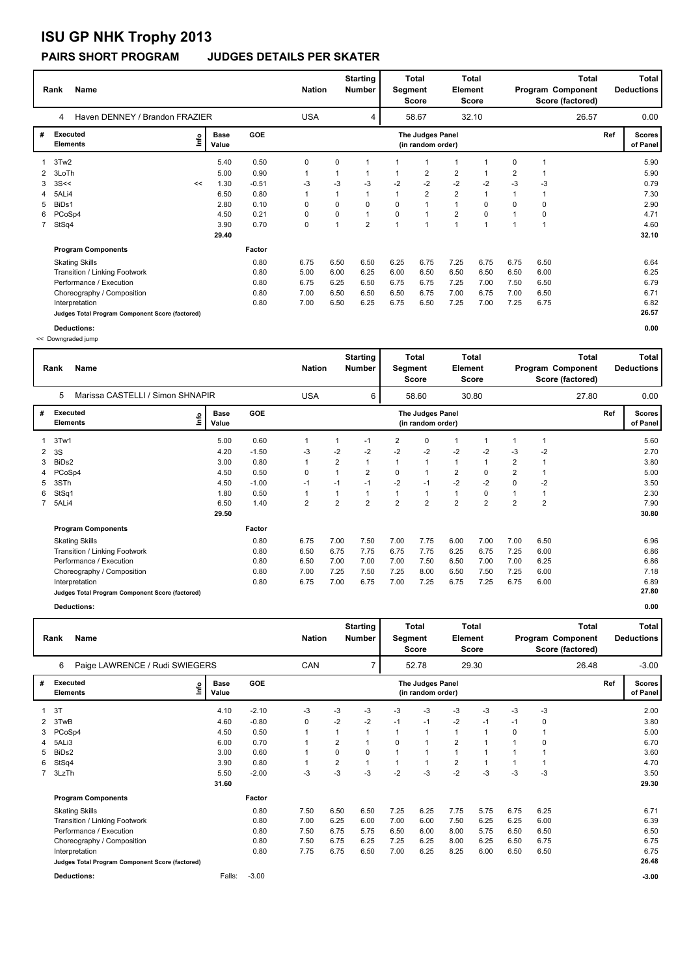# **ISU GP NHK Trophy 2013**

### **PAIRS SHORT PROGRAM JUDGES DETAILS PER SKATER**

|             | <b>Name</b><br>Rank                             |      |                      |            |              | <b>Nation</b> | <b>Starting</b><br><b>Number</b> | Segment  | Total<br><b>Score</b>                 | <b>Total</b><br>Element<br><b>Score</b> |                |                |      | <b>Total</b><br>Program Component<br>Score (factored) |     | Total<br><b>Deductions</b> |
|-------------|-------------------------------------------------|------|----------------------|------------|--------------|---------------|----------------------------------|----------|---------------------------------------|-----------------------------------------|----------------|----------------|------|-------------------------------------------------------|-----|----------------------------|
|             | Haven DENNEY / Brandon FRAZIER<br>4             |      |                      |            | <b>USA</b>   |               | 4                                |          | 58.67                                 |                                         | 32.10          |                |      | 26.57                                                 |     | 0.00                       |
| #           | <b>Executed</b><br><b>Elements</b>              | ١nf٥ | <b>Base</b><br>Value | <b>GOE</b> |              |               |                                  |          | The Judges Panel<br>(in random order) |                                         |                |                |      |                                                       | Ref | <b>Scores</b><br>of Panel  |
|             | 3Tw2                                            |      | 5.40                 | 0.50       | 0            | 0             |                                  |          |                                       | $\mathbf{1}$                            |                | 0              | 1    |                                                       |     | 5.90                       |
| 2           | 3LoTh                                           |      | 5.00                 | 0.90       | $\mathbf{1}$ | 1             |                                  |          | $\overline{2}$                        | $\overline{2}$                          |                | $\overline{2}$ | 1    |                                                       |     | 5.90                       |
| 3           | 3S<<                                            | <<   | 1.30                 | $-0.51$    | -3           | $-3$          | $-3$                             | $-2$     | $-2$                                  | $-2$                                    | $-2$           | $-3$           | $-3$ |                                                       |     | 0.79                       |
| 4           | 5ALi4                                           |      | 6.50                 | 0.80       |              | 1             |                                  |          | $\overline{2}$                        | $\overline{2}$                          | $\overline{1}$ |                | 1    |                                                       |     | 7.30                       |
| 5           | BiDs1                                           |      | 2.80                 | 0.10       | 0            | 0             | 0                                | 0        | -1                                    | 1                                       | 0              | $\Omega$       | 0    |                                                       |     | 2.90                       |
| 6           | PCoSp4                                          |      | 4.50                 | 0.21       | 0            | 0             |                                  | $\Omega$ | $\overline{1}$                        | $\overline{\mathbf{c}}$                 | 0              |                | 0    |                                                       |     | 4.71                       |
| $7^{\circ}$ | StSq4                                           |      | 3.90                 | 0.70       | 0            | $\mathbf{1}$  | $\overline{2}$                   |          | 4                                     | $\mathbf{1}$                            | $\overline{ }$ |                | 1    |                                                       |     | 4.60                       |
|             |                                                 |      | 29.40                |            |              |               |                                  |          |                                       |                                         |                |                |      |                                                       |     | 32.10                      |
|             | <b>Program Components</b>                       |      |                      | Factor     |              |               |                                  |          |                                       |                                         |                |                |      |                                                       |     |                            |
|             | <b>Skating Skills</b>                           |      |                      | 0.80       | 6.75         | 6.50          | 6.50                             | 6.25     | 6.75                                  | 7.25                                    | 6.75           | 6.75           | 6.50 |                                                       |     | 6.64                       |
|             | Transition / Linking Footwork                   |      |                      | 0.80       | 5.00         | 6.00          | 6.25                             | 6.00     | 6.50                                  | 6.50                                    | 6.50           | 6.50           | 6.00 |                                                       |     | 6.25                       |
|             | Performance / Execution                         |      |                      | 0.80       | 6.75         | 6.25          | 6.50                             | 6.75     | 6.75                                  | 7.25                                    | 7.00           | 7.50           | 6.50 |                                                       |     | 6.79                       |
|             | Choreography / Composition                      |      |                      | 0.80       | 7.00         | 6.50          | 6.50                             | 6.50     | 6.75                                  | 7.00                                    | 6.75           | 7.00           | 6.50 |                                                       |     | 6.71                       |
|             | Interpretation                                  |      |                      | 0.80       | 7.00         | 6.50          | 6.25                             | 6.75     | 6.50                                  | 7.25                                    | 7.00           | 7.25           | 6.75 |                                                       |     | 6.82                       |
|             | Judges Total Program Component Score (factored) |      |                      |            |              |               |                                  |          |                                       |                                         |                |                |      |                                                       |     | 26.57                      |
|             | Deductions:                                     |      |                      |            |              |               |                                  |          |                                       |                                         |                |                |      |                                                       |     | 0.00                       |

<< Downgraded jump

|              | <b>Name</b><br>Rank                             |   |                      |            | <b>Nation</b>  |            | <b>Starting</b><br><b>Number</b> | Segment        | Total<br>Score | Element                               | Total<br><b>Score</b> | <b>Total</b><br>Program Component<br>Score (factored) |                         |      |       | <b>Total</b><br><b>Deductions</b> |                           |
|--------------|-------------------------------------------------|---|----------------------|------------|----------------|------------|----------------------------------|----------------|----------------|---------------------------------------|-----------------------|-------------------------------------------------------|-------------------------|------|-------|-----------------------------------|---------------------------|
|              | 5<br>Marissa CASTELLI / Simon SHNAPIR           |   |                      |            |                | <b>USA</b> |                                  | 6              |                | 58.60                                 |                       | 30.80                                                 |                         |      | 27.80 |                                   | 0.00                      |
| #            | <b>Executed</b><br><b>Elements</b>              | e | <b>Base</b><br>Value | <b>GOE</b> |                |            |                                  |                |                | The Judges Panel<br>(in random order) |                       |                                                       |                         |      |       | Ref                               | <b>Scores</b><br>of Panel |
|              | 3Tw1                                            |   | 5.00                 | 0.60       | $\mathbf{1}$   |            | 1                                | $-1$           | 2              | 0                                     | 1                     |                                                       |                         |      |       |                                   | 5.60                      |
| $\mathbf{2}$ | 3S                                              |   | 4.20                 | $-1.50$    | -3             |            | $-2$                             | $-2$           | $-2$           | $-2$                                  | $-2$                  | $-2$                                                  | $-3$                    | $-2$ |       |                                   | 2.70                      |
| 3            | BiDs2                                           |   | 3.00                 | 0.80       | $\mathbf{1}$   |            | $\overline{2}$                   |                |                | 1                                     | $\mathbf{1}$          |                                                       | $\overline{\mathbf{c}}$ |      |       |                                   | 3.80                      |
|              | PCoSp4                                          |   | 4.50                 | 0.50       | 0              |            | $\mathbf{1}$                     | $\overline{2}$ | $\Omega$       | 1                                     | 2                     | 0                                                     | 2                       |      |       |                                   | 5.00                      |
| 5            | 3STh                                            |   | 4.50                 | $-1.00$    | $-1$           |            | $-1$                             | $-1$           | $-2$           | $-1$                                  | $-2$                  | $-2$                                                  | 0                       | $-2$ |       |                                   | 3.50                      |
| 6            | StSq1                                           |   | 1.80                 | 0.50       | 1              |            | 1                                |                |                | 1                                     | $\mathbf{1}$          | 0                                                     |                         |      |       |                                   | 2.30                      |
| $7^{\circ}$  | 5ALi4                                           |   | 6.50                 | 1.40       | $\overline{2}$ |            | $\overline{2}$                   | $\overline{2}$ | $\overline{2}$ | $\overline{2}$                        | $\overline{2}$        | $\overline{2}$                                        | $\overline{2}$          | 2    |       |                                   | 7.90                      |
|              |                                                 |   | 29.50                |            |                |            |                                  |                |                |                                       |                       |                                                       |                         |      |       |                                   | 30.80                     |
|              | <b>Program Components</b>                       |   |                      | Factor     |                |            |                                  |                |                |                                       |                       |                                                       |                         |      |       |                                   |                           |
|              | <b>Skating Skills</b>                           |   |                      | 0.80       | 6.75           |            | 7.00                             | 7.50           | 7.00           | 7.75                                  | 6.00                  | 7.00                                                  | 7.00                    | 6.50 |       |                                   | 6.96                      |
|              | Transition / Linking Footwork                   |   |                      | 0.80       | 6.50           |            | 6.75                             | 7.75           | 6.75           | 7.75                                  | 6.25                  | 6.75                                                  | 7.25                    | 6.00 |       |                                   | 6.86                      |
|              | Performance / Execution                         |   |                      | 0.80       | 6.50           |            | 7.00                             | 7.00           | 7.00           | 7.50                                  | 6.50                  | 7.00                                                  | 7.00                    | 6.25 |       |                                   | 6.86                      |
|              | Choreography / Composition                      |   |                      | 0.80       | 7.00           |            | 7.25                             | 7.50           | 7.25           | 8.00                                  | 6.50                  | 7.50                                                  | 7.25                    | 6.00 |       |                                   | 7.18                      |
|              | Interpretation                                  |   |                      | 0.80       | 6.75           |            | 7.00                             | 6.75           | 7.00           | 7.25                                  | 6.75                  | 7.25                                                  | 6.75                    | 6.00 |       |                                   | 6.89                      |
|              | Judges Total Program Component Score (factored) |   |                      |            |                |            |                                  |                |                |                                       |                       |                                                       |                         |      |       |                                   | 27.80                     |
|              |                                                 |   |                      |            |                |            |                                  |                |                |                                       |                       |                                                       |                         |      |       |                                   |                           |

**Deductions: 0.00**

|   | Name<br>Rank                                    | <b>Nation</b>        |            | <b>Starting</b><br>Number | Segment        | <b>Total</b><br>Score | Total<br>Element<br><b>Score</b> |                                       |                |       | Total<br>Program Component<br>Score (factored) | Total<br><b>Deductions</b> |       |     |                           |
|---|-------------------------------------------------|----------------------|------------|---------------------------|----------------|-----------------------|----------------------------------|---------------------------------------|----------------|-------|------------------------------------------------|----------------------------|-------|-----|---------------------------|
|   | Paige LAWRENCE / Rudi SWIEGERS<br>6             |                      |            | CAN                       |                | 7                     |                                  | 52.78                                 |                | 29.30 |                                                |                            | 26.48 |     | $-3.00$                   |
| # | <b>Executed</b><br>١nfo<br><b>Elements</b>      | <b>Base</b><br>Value | <b>GOE</b> |                           |                |                       |                                  | The Judges Panel<br>(in random order) |                |       |                                                |                            |       | Ref | <b>Scores</b><br>of Panel |
|   | 3T                                              | 4.10                 | $-2.10$    | -3                        | $-3$           | -3                    | $-3$                             | -3                                    | $-3$           | -3    | -3                                             | $-3$                       |       |     | 2.00                      |
| 2 | 3TwB                                            | 4.60                 | $-0.80$    | 0                         | $-2$           | $-2$                  | $-1$                             | $-1$                                  | $-2$           | $-1$  | $-1$                                           | 0                          |       |     | 3.80                      |
| 3 | PCoSp4                                          | 4.50                 | 0.50       |                           | 1              |                       |                                  | $\overline{1}$                        | 1              | 1     | $\Omega$                                       |                            |       |     | 5.00                      |
| 4 | 5ALi3                                           | 6.00                 | 0.70       |                           | $\overline{2}$ |                       | 0                                | 1                                     | $\overline{2}$ | 1     |                                                | 0                          |       |     | 6.70                      |
| 5 | BiD <sub>s2</sub>                               | 3.00                 | 0.60       |                           | 0              | 0                     |                                  | 1                                     | 1              | 1     |                                                |                            |       |     | 3.60                      |
| 6 | StSq4                                           | 3.90                 | 0.80       |                           | 2              |                       |                                  |                                       | 2              | 1     |                                                |                            |       |     | 4.70                      |
|   | 3LzTh                                           | 5.50                 | $-2.00$    | $-3$                      | $-3$           | $-3$                  | $-2$                             | $-3$                                  | $-2$           | $-3$  | $-3$                                           | $-3$                       |       |     | 3.50                      |
|   |                                                 | 31.60                |            |                           |                |                       |                                  |                                       |                |       |                                                |                            |       |     | 29.30                     |
|   | <b>Program Components</b>                       |                      | Factor     |                           |                |                       |                                  |                                       |                |       |                                                |                            |       |     |                           |
|   | <b>Skating Skills</b>                           |                      | 0.80       | 7.50                      | 6.50           | 6.50                  | 7.25                             | 6.25                                  | 7.75           | 5.75  | 6.75                                           | 6.25                       |       |     | 6.71                      |
|   | Transition / Linking Footwork                   |                      | 0.80       | 7.00                      | 6.25           | 6.00                  | 7.00                             | 6.00                                  | 7.50           | 6.25  | 6.25                                           | 6.00                       |       |     | 6.39                      |
|   | Performance / Execution                         |                      | 0.80       | 7.50                      | 6.75           | 5.75                  | 6.50                             | 6.00                                  | 8.00           | 5.75  | 6.50                                           | 6.50                       |       |     | 6.50                      |
|   | Choreography / Composition                      |                      | 0.80       | 7.50                      | 6.75           | 6.25                  | 7.25                             | 6.25                                  | 8.00           | 6.25  | 6.50                                           | 6.75                       |       |     | 6.75                      |
|   | Interpretation                                  |                      | 0.80       | 7.75                      | 6.75           | 6.50                  | 7.00                             | 6.25                                  | 8.25           | 6.00  | 6.50                                           | 6.50                       |       |     | 6.75                      |
|   | Judges Total Program Component Score (factored) |                      |            |                           |                |                       |                                  |                                       |                |       |                                                |                            |       |     | 26.48                     |
|   | <b>Deductions:</b>                              | Falls:               | $-3.00$    |                           |                |                       |                                  |                                       |                |       |                                                |                            |       |     | $-3.00$                   |